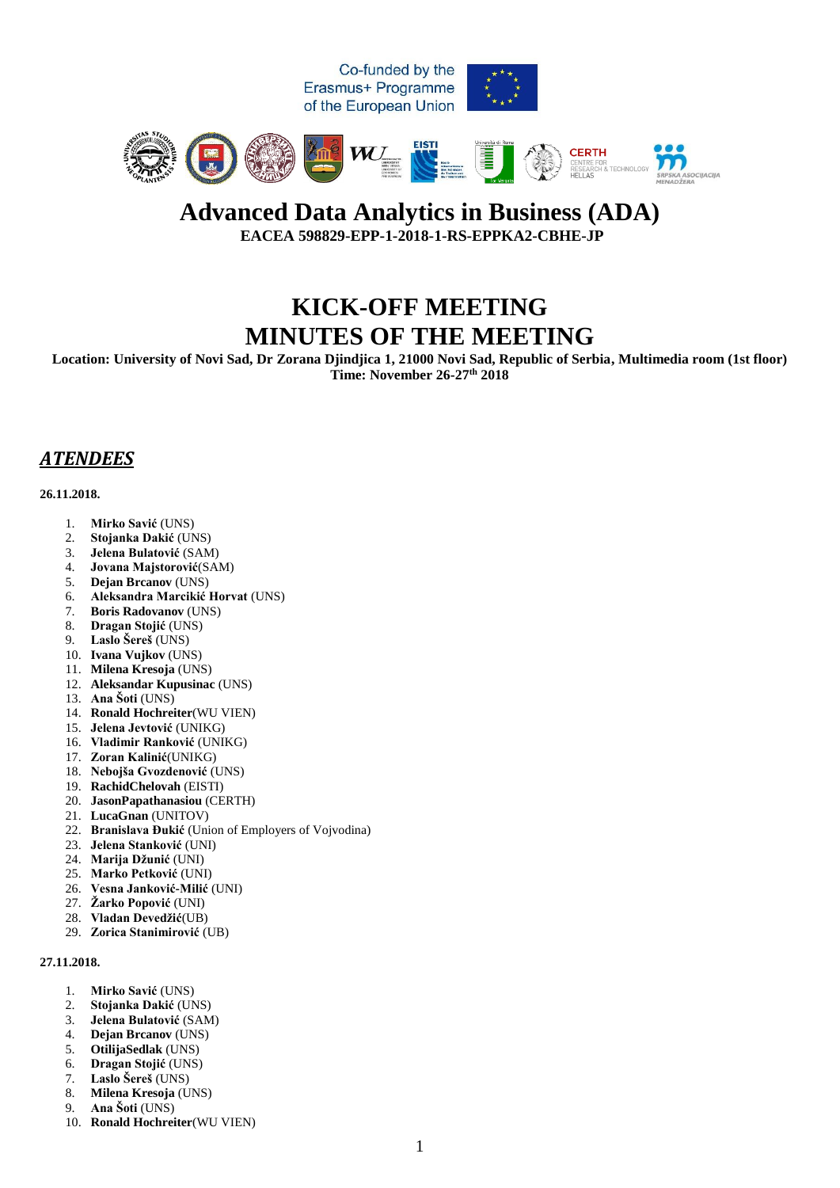

### **Advanced Data Analytics in Business (ADA) EACEA 598829-EPP-1-2018-1-RS-EPPKA2-CBHE-JP**

# **KICK-OFF MEETING MINUTES OF THE MEETING**

**Location: University of Novi Sad, Dr Zorana Djindjica 1, 21000 Novi Sad, Republic of Serbia, Multimedia room (1st floor) Time: November 26-27th 2018**

## *ATENDEES*

#### **26.11.2018.**

- 1. **Mirko Savić** (UNS)
- 2. **Stojanka Dakić** (UNS)
- 3. **Jelena Bulatović** (SAM)
- 4. **Jovana Majstorović**(SAM)
- 5. **Dejan Brcanov** (UNS)
- 6. **Aleksandra Marcikić Horvat** (UNS)
- 7. **Boris Radovanov** (UNS)
- 8. **Dragan Stojić** (UNS)
- 9. **Laslo Šereš** (UNS)
- 10. **Ivana Vujkov** (UNS)
- 11. **Milena Kresoja** (UNS)
- 12. **Aleksandar Kupusinac** (UNS)
- 13. **Ana Šoti** (UNS)
- 14. **Ronald Hochreiter**(WU VIEN)
- 15. **Jelena Jevtović** (UNIKG)
- 16. **Vladimir Ranković** (UNIKG)
- 17. **Zoran Kalinić**(UNIKG)
- 18. **Nebojša Gvozdenović** (UNS)
- 19. **RachidChelovah** (EISTI)
- 20. **JasonPapathanasiou** (CERTH)
- 21. **LucaGnan** (UNITOV)
- 22. **Branislava Đukić** (Union of Employers of Vojvodina)
- 23. **Jelena Stanković** (UNI)
- 24. **Marija Džunić** (UNI)
- 25. **Marko Petković** (UNI)
- 26. **Vesna Janković-Milić** (UNI)
- 27. **Žarko Popović** (UNI)
- 28. **Vladan Devedžić**(UB)
- 29. **Zorica Stanimirović** (UB)

#### **27.11.2018.**

- 1. **Mirko Savić** (UNS)
- 2. **Stojanka Dakić** (UNS)
- 3. **Jelena Bulatović** (SAM)
- 4. **Dejan Brcanov** (UNS)
- 5. **OtilijaSedlak** (UNS)
- 6. **Dragan Stojić** (UNS)
- 7. **Laslo Šereš** (UNS)
- 8. **Milena Kresoja** (UNS)
- 9. **Ana Šoti** (UNS)
- 10. **Ronald Hochreiter**(WU VIEN)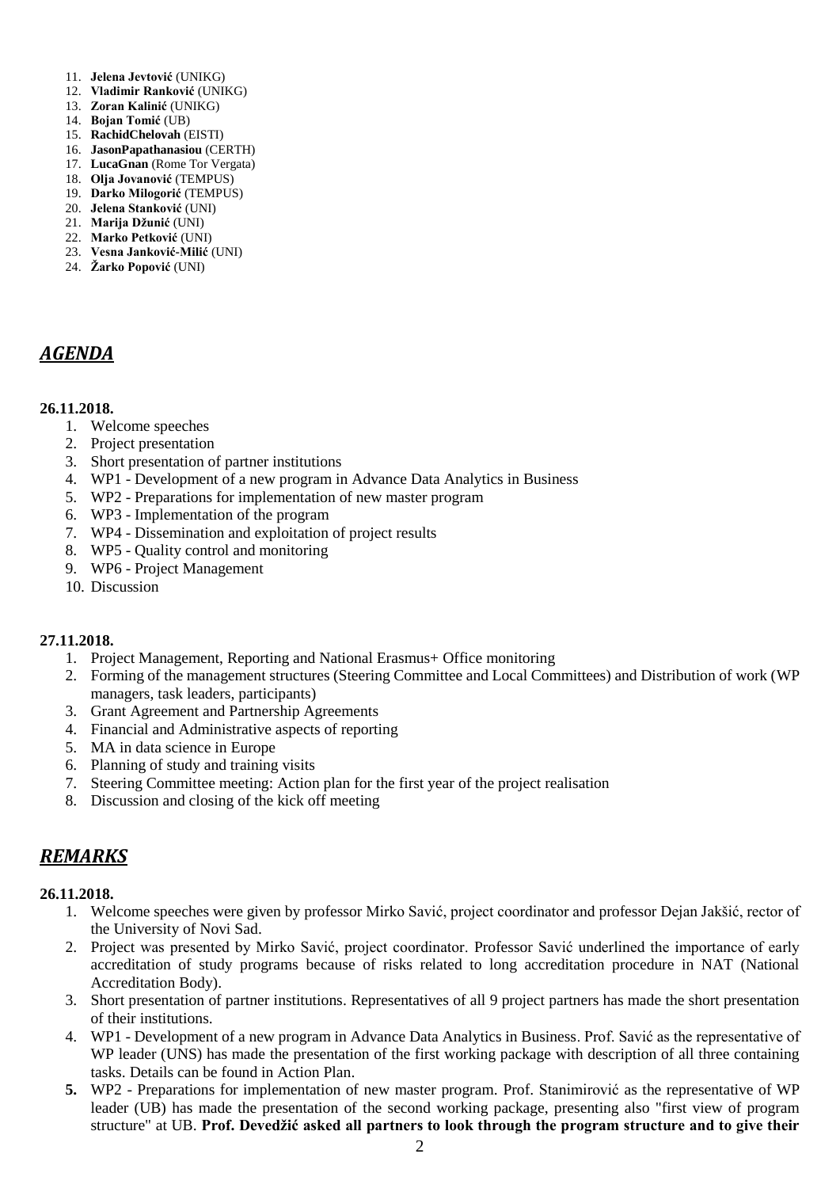- 11. **Jelena Jevtović** (UNIKG)
- 12. **Vladimir Ranković** (UNIKG)
- 13. **Zoran Kalinić** (UNIKG)
- 14. **Bojan Tomić** (UB)
- 15. **RachidChelovah** (EISTI)
- 16. **JasonPapathanasiou** (CERTH)
- 17. **LucaGnan** (Rome Tor Vergata)
- 18. **Olja Jovanović** (TEMPUS) 19. **Darko Milogorić** (TEMPUS)
- 20. **Jelena Stanković** (UNI)
- 21. **Marija Džunić** (UNI)
- 22. **Marko Petković** (UNI)
- 23. **Vesna Janković-Milić** (UNI)
- 24. **Žarko Popović** (UNI)

### *AGENDA*

#### **26.11.2018.**

- 1. Welcome speeches
- 2. Project presentation
- 3. Short presentation of partner institutions
- 4. WP1 Development of a new program in Advance Data Analytics in Business
- 5. WP2 Preparations for implementation of new master program
- 6. WP3 Implementation of the program
- 7. WP4 Dissemination and exploitation of project results
- 8. WP5 Quality control and monitoring
- 9. WP6 Project Management
- 10. Discussion

#### **27.11.2018.**

- 1. Project Management, Reporting and National Erasmus+ Office monitoring
- 2. Forming of the management structures (Steering Committee and Local Committees) and Distribution of work (WP managers, task leaders, participants)
- 3. Grant Agreement and Partnership Agreements
- 4. Financial and Administrative aspects of reporting
- 5. MA in data science in Europe
- 6. Planning of study and training visits
- 7. Steering Committee meeting: Action plan for the first year of the project realisation
- 8. Discussion and closing of the kick off meeting

### *REMARKS*

#### **26.11.2018.**

- 1. Welcome speeches were given by professor Mirko Savić, project coordinator and professor Dejan Jakšić, rector of the University of Novi Sad.
- 2. Project was presented by Mirko Savić, project coordinator. Professor Savić underlined the importance of early accreditation of study programs because of risks related to long accreditation procedure in NAT (National Accreditation Body).
- 3. Short presentation of partner institutions. Representatives of all 9 project partners has made the short presentation of their institutions.
- 4. WP1 Development of a new program in Advance Data Analytics in Business. Prof. Savić as the representative of WP leader (UNS) has made the presentation of the first working package with description of all three containing tasks. Details can be found in Action Plan.
- **5.** WP2 Preparations for implementation of new master program. Prof. Stanimirović as the representative of WP leader (UB) has made the presentation of the second working package, presenting also "first view of program structure" at UB. **Prof. Devedžić asked all partners to look through the program structure and to give their**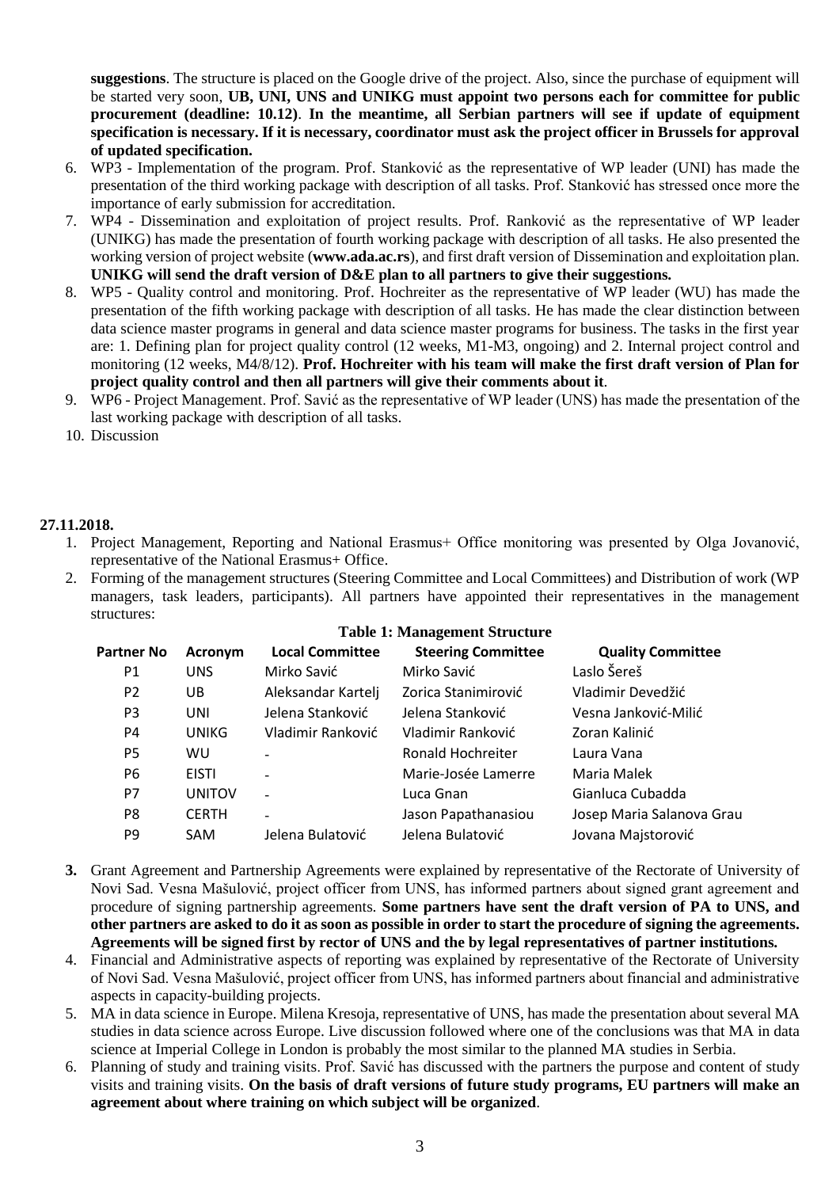**suggestions**. The structure is placed on the Google drive of the project. Also, since the purchase of equipment will be started very soon, **UB, UNI, UNS and UNIKG must appoint two persons each for committee for public procurement (deadline: 10.12)**. **In the meantime, all Serbian partners will see if update of equipment specification is necessary. If it is necessary, coordinator must ask the project officer in Brussels for approval of updated specification.**

- 6. WP3 Implementation of the program. Prof. Stanković as the representative of WP leader (UNI) has made the presentation of the third working package with description of all tasks. Prof. Stanković has stressed once more the importance of early submission for accreditation.
- 7. WP4 Dissemination and exploitation of project results. Prof. Ranković as the representative of WP leader (UNIKG) has made the presentation of fourth working package with description of all tasks. He also presented the working version of project website (**www.ada.ac.rs**), and first draft version of Dissemination and exploitation plan. **UNIKG will send the draft version of D&E plan to all partners to give their suggestions.**
- 8. WP5 Quality control and monitoring. Prof. Hochreiter as the representative of WP leader (WU) has made the presentation of the fifth working package with description of all tasks. He has made the clear distinction between data science master programs in general and data science master programs for business. The tasks in the first year are: 1. Defining plan for project quality control (12 weeks, M1-M3, ongoing) and 2. Internal project control and monitoring (12 weeks, M4/8/12). **Prof. Hochreiter with his team will make the first draft version of Plan for project quality control and then all partners will give their comments about it**.
- 9. WP6 Project Management. Prof. Savić as the representative of WP leader (UNS) has made the presentation of the last working package with description of all tasks.
- 10. Discussion

### **27.11.2018.**

- 1. Project Management, Reporting and National Erasmus+ Office monitoring was presented by Olga Jovanović, representative of the National Erasmus+ Office.
- 2. Forming of the management structures (Steering Committee and Local Committees) and Distribution of work (WP managers, task leaders, participants). All partners have appointed their representatives in the management structures:

|                   |               | Table 1: Management Structure |                           |                           |  |  |  |  |  |
|-------------------|---------------|-------------------------------|---------------------------|---------------------------|--|--|--|--|--|
| <b>Partner No</b> | Acronym       | <b>Local Committee</b>        | <b>Steering Committee</b> | <b>Quality Committee</b>  |  |  |  |  |  |
| P1                | <b>UNS</b>    | Mirko Savić                   | Mirko Savić               | Laslo Šereš               |  |  |  |  |  |
| P <sub>2</sub>    | UB            | Aleksandar Kartelj            | Zorica Stanimirović       | Vladimir Devedžić         |  |  |  |  |  |
| P <sub>3</sub>    | UNI           | Jelena Stanković              | Jelena Stanković          | Vesna Janković-Milić      |  |  |  |  |  |
| P4                | <b>UNIKG</b>  | Vladimir Ranković             | Vladimir Ranković         | Zoran Kalinić             |  |  |  |  |  |
| P5                | <b>WU</b>     |                               | Ronald Hochreiter         | Laura Vana                |  |  |  |  |  |
| Р6                | <b>EISTI</b>  |                               | Marie-Josée Lamerre       | Maria Malek               |  |  |  |  |  |
| P7                | <b>UNITOV</b> | ÷.                            | Luca Gnan                 | Gianluca Cubadda          |  |  |  |  |  |
| P8                | <b>CERTH</b>  | $\blacksquare$                | Jason Papathanasiou       | Josep Maria Salanova Grau |  |  |  |  |  |
| P9                | <b>SAM</b>    | Jelena Bulatović              | Jelena Bulatović          | Jovana Majstorović        |  |  |  |  |  |

**Table 1: Management Structure**

- **3.** Grant Agreement and Partnership Agreements were explained by representative of the Rectorate of University of Novi Sad. Vesna Mašulović, project officer from UNS, has informed partners about signed grant agreement and procedure of signing partnership agreements. **Some partners have sent the draft version of PA to UNS, and other partners are asked to do it as soon as possible in order to start the procedure of signing the agreements. Agreements will be signed first by rector of UNS and the by legal representatives of partner institutions.**
- 4. Financial and Administrative aspects of reporting was explained by representative of the Rectorate of University of Novi Sad. Vesna Mašulović, project officer from UNS, has informed partners about financial and administrative aspects in capacity-building projects.
- 5. MA in data science in Europe. Milena Kresoja, representative of UNS, has made the presentation about several MA studies in data science across Europe. Live discussion followed where one of the conclusions was that MA in data science at Imperial College in London is probably the most similar to the planned MA studies in Serbia.
- 6. Planning of study and training visits. Prof. Savić has discussed with the partners the purpose and content of study visits and training visits. **On the basis of draft versions of future study programs, EU partners will make an agreement about where training on which subject will be organized**.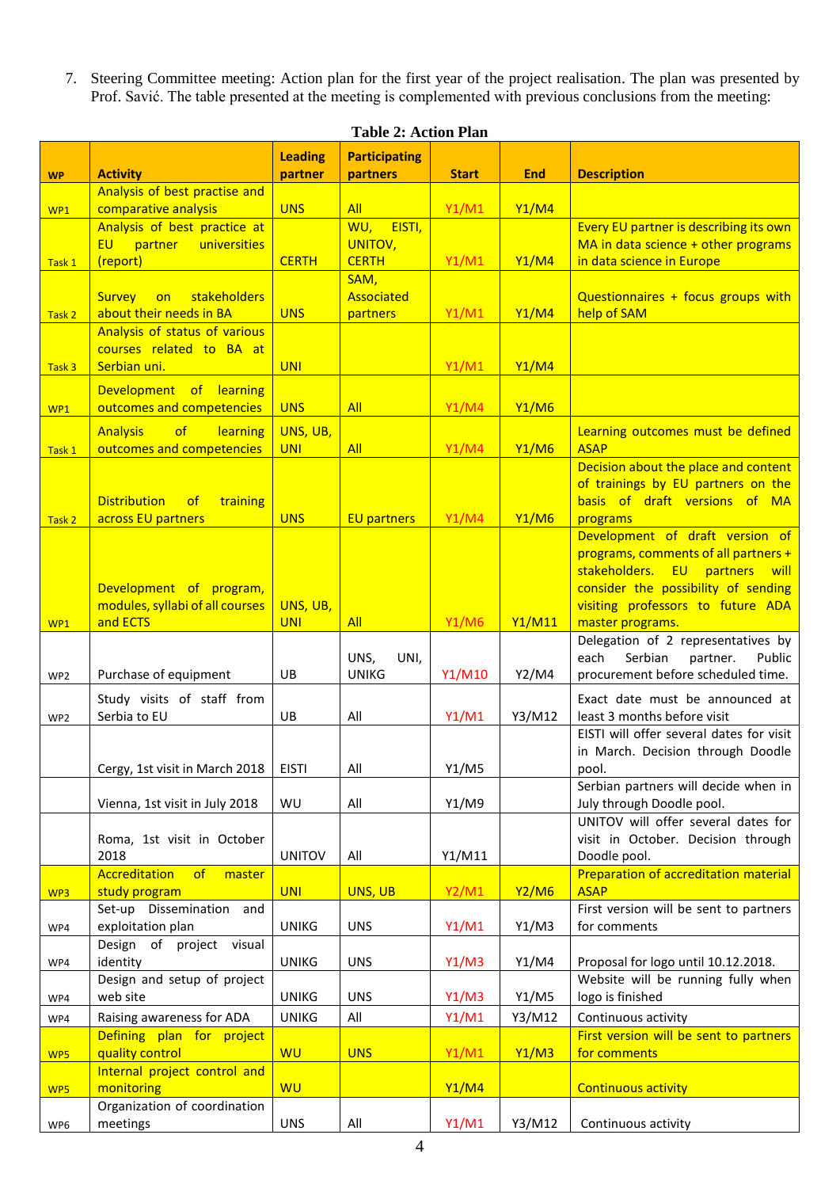7. Steering Committee meeting: Action plan for the first year of the project realisation. The plan was presented by Prof. Savić. The table presented at the meeting is complemented with previous conclusions from the meeting:

| <b>Leading</b><br><b>Participating</b><br><b>Description</b><br><b>Activity</b><br>partner<br>partners<br><b>Start</b><br><b>End</b><br><b>WP</b> |                                                                                    |
|---------------------------------------------------------------------------------------------------------------------------------------------------|------------------------------------------------------------------------------------|
| Analysis of best practise and                                                                                                                     |                                                                                    |
| comparative analysis<br><b>UNS</b><br><b>All</b><br>Y1/M1<br><b>Y1/M4</b><br>WP1<br>EISTI,                                                        |                                                                                    |
| Analysis of best practice at<br>WU,<br>EU  <br>partner<br>universities<br>UNITOV,                                                                 | Every EU partner is describing its own<br>MA in data science + other programs      |
| <b>CERTH</b><br><b>CERTH</b><br>Y1/M1<br><b>Y1/M4</b><br>(report)<br>Task 1                                                                       | in data science in Europe                                                          |
| SAM,                                                                                                                                              |                                                                                    |
| <b>Associated</b><br><b>Survey</b><br>stakeholders<br>on                                                                                          | Questionnaires + focus groups with                                                 |
| <b>UNS</b><br>about their needs in BA<br>Y1/M1<br><b>Y1/M4</b><br>help of SAM<br>partners<br>Task 2                                               |                                                                                    |
| Analysis of status of various                                                                                                                     |                                                                                    |
| courses related to BA at<br>Serbian uni.<br><b>UNI</b><br>Y1/M1<br><b>Y1/M4</b><br>Task 3                                                         |                                                                                    |
|                                                                                                                                                   |                                                                                    |
| Development of learning<br>outcomes and competencies<br>All<br><b>UNS</b><br>Y1/M4<br><b>Y1/M6</b>                                                |                                                                                    |
| WP1                                                                                                                                               |                                                                                    |
| UNS, UB,<br><b>Analysis</b><br>of<br>learning<br>outcomes and competencies<br><b>ASAP</b><br><b>All</b><br>Y1/M4<br><b>Y1/M6</b><br><b>UNI</b>    | Learning outcomes must be defined                                                  |
| Task 1                                                                                                                                            | Decision about the place and content                                               |
|                                                                                                                                                   | of trainings by EU partners on the                                                 |
| <b>Distribution</b><br>$\circ$ f<br>training                                                                                                      | basis of draft versions of MA                                                      |
| Y1/M4<br><b>Y1/M6</b><br>across EU partners<br><b>UNS</b><br><b>EU partners</b><br>programs<br>Task 2                                             |                                                                                    |
|                                                                                                                                                   | Development of draft version of                                                    |
|                                                                                                                                                   | programs, comments of all partners +<br>stakeholders. EU partners<br><u>  will</u> |
| Development of program,                                                                                                                           | consider the possibility of sending                                                |
| modules, syllabi of all courses<br>UNS, UB,                                                                                                       | visiting professors to future ADA                                                  |
| and ECTS<br><b>Y1/M11</b><br><b>UNI</b><br><b>All</b><br><b>Y1/M6</b><br>WP1                                                                      | master programs.                                                                   |
|                                                                                                                                                   | Delegation of 2 representatives by                                                 |
| UNS,<br>UNI,<br>each                                                                                                                              | Serbian<br>partner.<br>Public                                                      |
| <b>UNIKG</b><br>Y1/M10<br>Purchase of equipment<br>UB<br>Y2/M4<br>WP <sub>2</sub>                                                                 | procurement before scheduled time.                                                 |
| Study visits of staff from<br>Serbia to EU                                                                                                        | Exact date must be announced at<br>least 3 months before visit                     |
| Y3/M12<br>UB<br>All<br>Y1/M1<br>WP <sub>2</sub>                                                                                                   | EISTI will offer several dates for visit                                           |
|                                                                                                                                                   | in March. Decision through Doodle                                                  |
| Y1/M5<br>Cergy, 1st visit in March 2018   EISTI<br>All<br>pool.                                                                                   |                                                                                    |
|                                                                                                                                                   | Serbian partners will decide when in                                               |
| Y1/M9<br>WU<br>All<br>Vienna, 1st visit in July 2018                                                                                              | July through Doodle pool.                                                          |
|                                                                                                                                                   | UNITOV will offer several dates for                                                |
| Roma, 1st visit in October<br>2018<br><b>UNITOV</b><br>All<br>Y1/M11<br>Doodle pool.                                                              | visit in October. Decision through                                                 |
| Accreditation<br>of<br>master                                                                                                                     | Preparation of accreditation material                                              |
| <b>UNI</b><br><b>Y2/M1</b><br><b>ASAP</b><br>study program<br>UNS, UB<br><b>Y2/M6</b><br>WP3                                                      |                                                                                    |
| Set-up Dissemination and                                                                                                                          | First version will be sent to partners                                             |
| exploitation plan<br>for comments<br><b>UNIKG</b><br><b>UNS</b><br>Y1/M1<br>Y1/M3<br>WP4                                                          |                                                                                    |
| Design of project visual<br>identity<br><b>UNIKG</b><br><b>UNS</b><br>Y1/M3<br>Y1/M4                                                              | Proposal for logo until 10.12.2018.                                                |
| WP4<br>Design and setup of project                                                                                                                | Website will be running fully when                                                 |
| logo is finished<br>web site<br><b>UNIKG</b><br><b>UNS</b><br>Y1/M3<br>Y1/M5<br>WP4                                                               |                                                                                    |
| All<br>Y1/M1<br>Raising awareness for ADA<br><b>UNIKG</b><br>Y3/M12<br>WP4                                                                        | Continuous activity                                                                |
| Defining plan for project                                                                                                                         | First version will be sent to partners                                             |
| quality control<br><b>WU</b><br><b>UNS</b><br>Y1/M1<br>Y1/M3<br>for comments<br>WP5                                                               |                                                                                    |
| Internal project control and                                                                                                                      |                                                                                    |
| <b>WU</b><br>monitoring<br><b>Y1/M4</b><br>WP5                                                                                                    | <b>Continuous activity</b>                                                         |
| Organization of coordination<br>meetings<br><b>UNS</b><br>All<br>Y1/M1<br>Y3/M12<br>WP6                                                           | Continuous activity                                                                |

**Table 2: Action Plan**